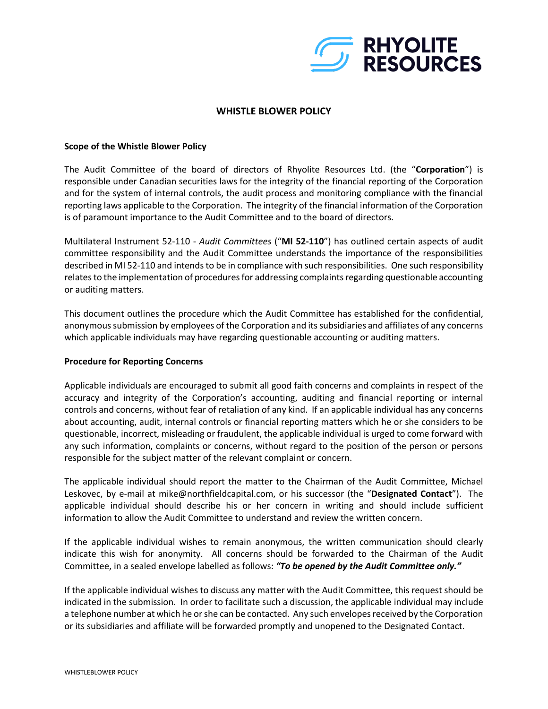

# **WHISTLE BLOWER POLICY**

### **Scope of the Whistle Blower Policy**

The Audit Committee of the board of directors of Rhyolite Resources Ltd. (the "**Corporation**") is responsible under Canadian securities laws for the integrity of the financial reporting of the Corporation and for the system of internal controls, the audit process and monitoring compliance with the financial reporting laws applicable to the Corporation. The integrity of the financial information of the Corporation is of paramount importance to the Audit Committee and to the board of directors.

Multilateral Instrument 52-110 - *Audit Committees* ("**MI 52-110**") has outlined certain aspects of audit committee responsibility and the Audit Committee understands the importance of the responsibilities described in MI 52-110 and intends to be in compliance with such responsibilities. One such responsibility relates to the implementation of procedures for addressing complaints regarding questionable accounting or auditing matters.

This document outlines the procedure which the Audit Committee has established for the confidential, anonymous submission by employees of the Corporation and its subsidiaries and affiliates of any concerns which applicable individuals may have regarding questionable accounting or auditing matters.

## **Procedure for Reporting Concerns**

Applicable individuals are encouraged to submit all good faith concerns and complaints in respect of the accuracy and integrity of the Corporation's accounting, auditing and financial reporting or internal controls and concerns, without fear of retaliation of any kind. If an applicable individual has any concerns about accounting, audit, internal controls or financial reporting matters which he or she considers to be questionable, incorrect, misleading or fraudulent, the applicable individual is urged to come forward with any such information, complaints or concerns, without regard to the position of the person or persons responsible for the subject matter of the relevant complaint or concern.

The applicable individual should report the matter to the Chairman of the Audit Committee, Michael Leskovec, by e-mail at mike@northfieldcapital.com, or his successor (the "**Designated Contact**"). The applicable individual should describe his or her concern in writing and should include sufficient information to allow the Audit Committee to understand and review the written concern.

If the applicable individual wishes to remain anonymous, the written communication should clearly indicate this wish for anonymity. All concerns should be forwarded to the Chairman of the Audit Committee, in a sealed envelope labelled as follows: *"To be opened by the Audit Committee only."* 

If the applicable individual wishes to discuss any matter with the Audit Committee, this request should be indicated in the submission. In order to facilitate such a discussion, the applicable individual may include a telephone number at which he or she can be contacted. Any such envelopes received by the Corporation or its subsidiaries and affiliate will be forwarded promptly and unopened to the Designated Contact.